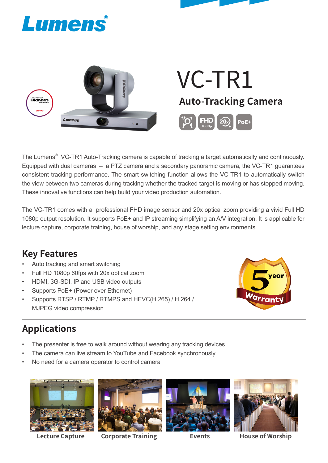



The Lumens $^\circ$  VC-TR1 Auto-Tracking camera is capable of tracking a target automatically and continuously. Equipped with dual cameras – a PTZ camera and a secondary panoramic camera, the VC-TR1 guarantees consistent tracking performance. The smart switching function allows the VC-TR1 to automatically switch the view between two cameras during tracking whether the tracked target is moving or has stopped moving. These innovative functions can help build your video production automation.

The VC-TR1 comes with a professional FHD image sensor and 20x optical zoom providing a vivid Full HD 1080p output resolution. It supports PoE+ and IP streaming simplifying an A/V integration. It is applicable for lecture capture, corporate training, house of worship, and any stage setting environments.

## **Key Features**

- Auto tracking and smart switching
- Full HD 1080p 60fps with 20x optical zoom
- HDMI, 3G-SDI, IP and USB video outputs
- Supports PoE+ (Power over Ethernet)
- Supports RTSP / RTMP / RTMPS and HEVC(H.265) / H.264 / MJPEG video compression



## **Applications**

- The presenter is free to walk around without wearing any tracking devices
- The camera can live stream to YouTube and Facebook synchronously
- No need for a camera operator to control camera





**Lecture Capture Corporate Training Events House of Worship**